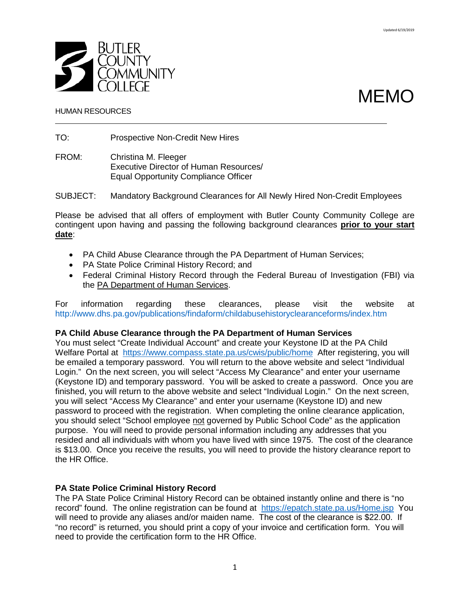



#### HUMAN RESOURCES

TO: Prospective Non-Credit New Hires

FROM: Christina M. Fleeger Executive Director of Human Resources/ Equal Opportunity Compliance Officer

SUBJECT: Mandatory Background Clearances for All Newly Hired Non-Credit Employees

Please be advised that all offers of employment with Butler County Community College are contingent upon having and passing the following background clearances **prior to your start date**:

- PA Child Abuse Clearance through the PA Department of Human Services;
- PA State Police Criminal History Record; and
- Federal Criminal History Record through the Federal Bureau of Investigation (FBI) via the PA Department of Human Services.

For information regarding these clearances, please visit the website at <http://www.dhs.pa.gov/publications/findaform/childabusehistoryclearanceforms/index.htm>

## **PA Child Abuse Clearance through the PA Department of Human Services**

You must select "Create Individual Account" and create your Keystone ID at the PA Child Welfare Portal at <https://www.compass.state.pa.us/cwis/public/home> After registering, you will be emailed a temporary password. You will return to the above website and select "Individual Login." On the next screen, you will select "Access My Clearance" and enter your username (Keystone ID) and temporary password. You will be asked to create a password. Once you are finished, you will return to the above website and select "Individual Login." On the next screen, you will select "Access My Clearance" and enter your username (Keystone ID) and new password to proceed with the registration. When completing the online clearance application, you should select "School employee not governed by Public School Code" as the application purpose. You will need to provide personal information including any addresses that you resided and all individuals with whom you have lived with since 1975. The cost of the clearance is \$13.00. Once you receive the results, you will need to provide the history clearance report to the HR Office.

## **PA State Police Criminal History Record**

The PA State Police Criminal History Record can be obtained instantly online and there is "no record" found. The online registration can be found at <https://epatch.state.pa.us/Home.jsp> You will need to provide any aliases and/or maiden name. The cost of the clearance is \$22.00. If "no record" is returned, you should print a copy of your invoice and certification form. You will need to provide the certification form to the HR Office.